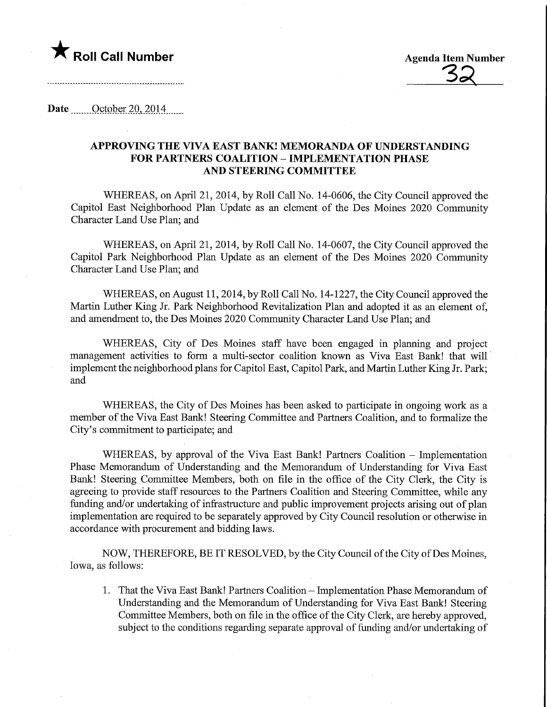

**Agenda Item Number** 

# Date <u>October 20, 2014</u>, 2014

# APPROVING THE VTVA EAST BANK! MEMORANDA OF UNDERSTANDING FOR PARTNERS COALITION - IMPLEMENTATION PHASE AND STEERING COMMITTEE

WHEREAS, on April 21, 2014, by Roll Call No. 14-0606, the City Council approved the Capitol East Neighborhood Plan Update as an element of the Des Moines 2020 Community Character Land Use Plan; and

WHEREAS, on April 21, 2014, by Roll Call No. 14-0607, the City Council approved the Capitol Park Neighborhood Plan Update as an element of the Des Moines 2020 Community Character Land Use Plan; and

WHEREAS, on August 11, 2014, by Roll Call No. 14-1227, the City Council approved the Martin Luther King Jr. Park Neighborhood Revitalization Plan and adopted it as an element of, and amendment to, the Des Moines 2020 Community Character Land Use Plan; and

WHEREAS, City of Des Moines staff have been engaged in planning and project management activities to form a multi-sector coalition known as Viva East Bank! that will implement the neighborhood plans for Capitol East, Capitol Park, and Martin Luther King Jr. Park; and

WHEREAS, the City of Des Moines has been asked to participate in ongoing work as a member of the Viva East Bank! Steering Committee and Partners Coalition, and to formalize the City's commitment to participate; and

WHEREAS, by approval of the Viva East Bank! Partners Coalition - Implementation Phase Memorandum of Understanding and the Memorandum of Understanding for Viva East Bank! Steering Committee Members, both on file in the office of the City Clerk, the City is agreeing to provide staff resources to the Partners Coalition and Steering Committee, while any funding and/or undertaking of infrastructure and public improvement projects arising out of plan implementation are required to be separately approved by City Council resolution or otherwise in accordance with procurement and bidding laws.

NOW, THEREFORE, BE IT RESOLVED, by the City Council of the City ofDes Moines, Iowa, as follows:

1. That the Viva East Bank! Partners Coalition - Implementation Phase Memorandum of Understanding and the Memorandum of Understanding for Viva East Bank! Steering Committee Members, both on file in the office of the City Clerk, are hereby approved, subject to the conditions regarding separate approval of funding and/or undertaking of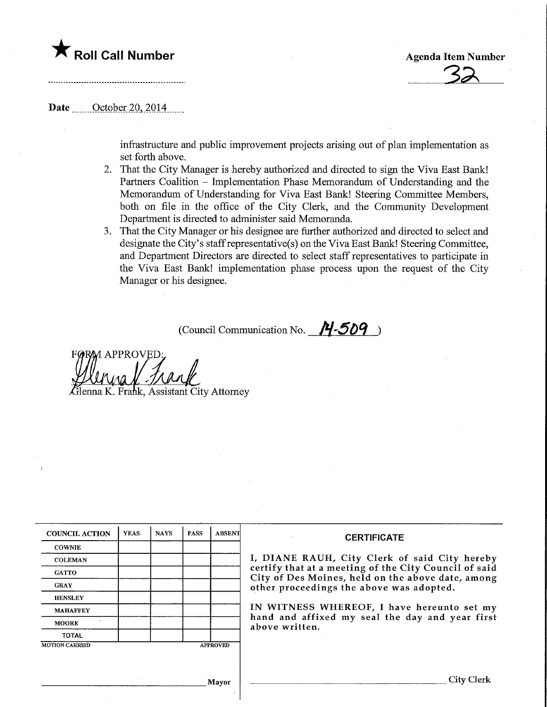

**Agenda Item Number** 

### Date <u>Cotober 20</u>, 2014

infrastructure and public improvement projects arising out of plan implementation as set forth above.

- 2. That the City Manager is hereby authorized and directed to sign the Viva East Bank! Partners Coalition - Implementation Phase Memorandum of Understanding and the Memorandum of Understanding for Viva East Bank! Steering Committee Members, both on file in the office of the City Clerk, and the Community Development Department is directed to administer said Memoranda.
- 3. That the City Manager or his designee are further authorized and directed to select and designate the City's staff representative(s) on the Viva East Bank! Steering Committee, and Department Directors are directed to select staff representatives to participate in the Viva East Bank! implementation phase process upon the request of the City Manager or his designee.

(Council Communication No.  $14-509$ )

1 APPROVEL enna K. Frank, Assistant City Attorney

| <b>COUNCIL ACTION</b> | <b>YEAS</b> | <b>NAYS</b> | <b>PASS</b> | <b>ABSENT</b>   | <b>CERTIFICATE</b>                                                                                         |  |  |  |
|-----------------------|-------------|-------------|-------------|-----------------|------------------------------------------------------------------------------------------------------------|--|--|--|
| <b>COWNIE</b>         |             |             |             |                 |                                                                                                            |  |  |  |
| <b>COLEMAN</b>        |             |             |             |                 | I, DIANE RAUH, City Clerk of said City hereby                                                              |  |  |  |
| <b>GATTO</b>          |             |             |             |                 | certify that at a meeting of the City Council of said<br>City of Des Moines, held on the above date, among |  |  |  |
| <b>GRAY</b>           |             |             |             |                 | other proceedings the above was adopted.                                                                   |  |  |  |
| <b>HENSLEY</b>        |             |             |             |                 | IN WITNESS WHEREOF, I have hereunto set my                                                                 |  |  |  |
| <b>MAHAFFEY</b>       |             |             |             |                 |                                                                                                            |  |  |  |
| <b>MOORE</b>          |             |             |             |                 | hand and affixed my seal the day and year first<br>above written.                                          |  |  |  |
| <b>TOTAL</b>          |             |             |             |                 |                                                                                                            |  |  |  |
| <b>MOTION CARRIED</b> |             |             |             | <b>APPROVED</b> |                                                                                                            |  |  |  |
|                       |             |             |             |                 |                                                                                                            |  |  |  |
|                       |             |             |             | Mayor           | City Clerk                                                                                                 |  |  |  |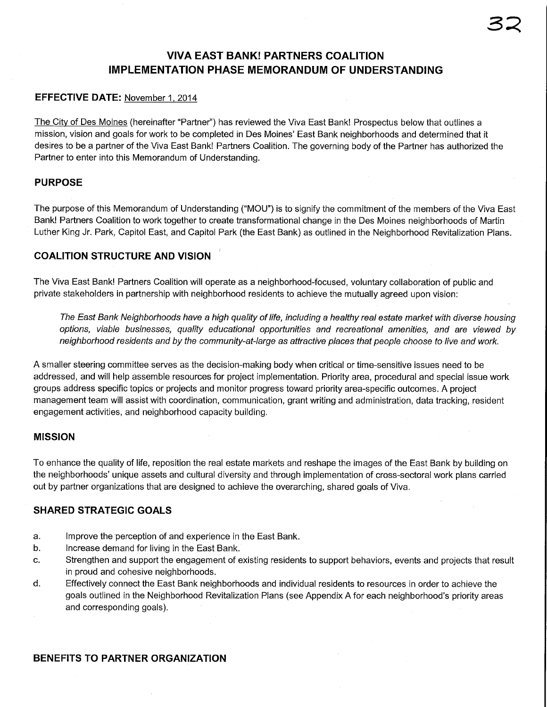# VIVA EAST BANK! PARTNERS COALITION IMPLEMENTATION PHASE MEMORANDUM OF UNDERSTANDING

# EFFECTIVE DATE: November 1. 2014

The City of Des Moines (hereinafter "Partner") has reviewed the Viva East Bank! Prospectus below that outlines a mission, vision and goals for work to be completed in Des Moines' East Bank neighborhoods and determined that it desires to be a partner of the Viva East Bank! Partners Coalition. The governing body of the Partner has authorized the Partner to enter into this Memorandum of Understanding.

### PURPOSE

The purpose of this Memorandum of Understanding ("MOD") is to signify the commitment of the members of the Viva East Bank! Partners Coalition to work together to create transformational change in the Des Moines neighborhoods of Martin Luther King Jr. Park, Capitol East, and Capitol Park (the East Bank) as outlined in the Neighborhood Revitalization Plans.

# COALITION STRUCTURE AND VISION

The Viva East Bank! Partners Coalition will operate as a neighborhood-focused, voluntary collaboration of public and private stakeholders in partnership with neighborhood residents to achieve the mutually agreed upon vision:

The East Bank Neighborhoods have a high quality of life, including a healthy real estate market with diverse housing options, viable businesses, quality educational opportunities and recreational amenities, and are viewed by neighborhood residents and by the community-at-large as attractive places that people choose to live and work.

A smaller steering committee serves as the decision-making body when critical or time-sensitive issues need to be addressed, and will help assemble resources for project implementation. Priority area, procedural and special issue work groups address specific topics or projects and monitor progress toward priority area-specific outcomes. A project management team will assist with coordination, communication, grant writing and administration, data tracking, resident engagement activities, and neighborhood capacity building.

### MISSION

To enhance the quality of life, reposition the real estate markets and reshape the images of the East Bank by building on the neighborhoods' unique assets and cultural diversity and through implementation of cross-sectoral work plans carried out by partner organizations that are designed to achieve the overarching, shared goals of Viva.

# SHARED STRATEGIC GOALS

- a. Improve the perception of and experience in the East Bank.
- b. Increase demand for living in the East Bank.
- c. Strengthen and support the engagement of existing residents to support behaviors, events and projects that result in proud and cohesive neighborhoods.
- d. Effectively connect the East Bank neighborhoods and individual residents to resources in order to achieve the goals outlined in the Neighborhood Revitalization Plans (see Appendix A for each neighborhood's priority areas and corresponding goals).

# BENEFITS TO PARTNER ORGANIZATION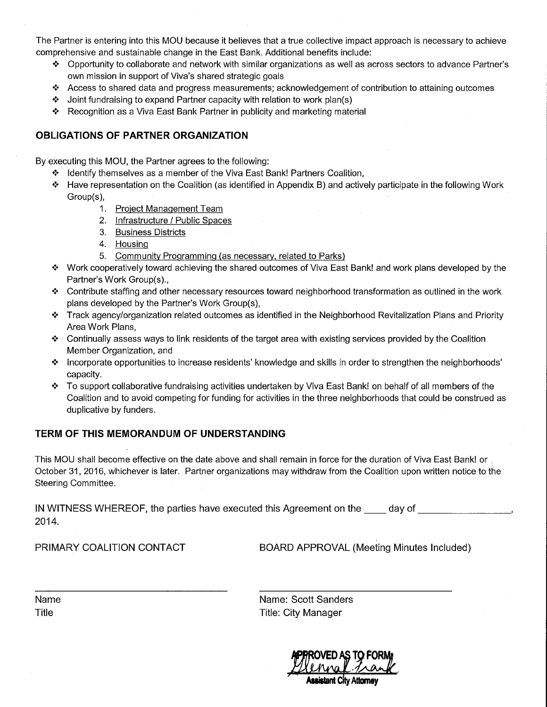The Partner is entering into this MOD because it believes that a true collective impact approach is necessary to achieve comprehensive and sustainable change in the East Bank. Additional benefits include:

- <\* Opportunity to collaborate and network with similar organizations as well as across sectors to advance Partner's own mission in support of Viva's shared strategic goals
- <\* Access to shared data and progress measurements; acknowledgement of contribution to attaining outcomes
- \* Joint fundraising to expand Partner capacity with relation to work plan(s)
- $*$  Recognition as a Viva East Bank Partner in publicity and marketing material

### OBLIGATIONS OF PARTNER ORGANIZATION

By executing this MOU, the Partner agrees to the following:

- \*> Identify themselves as a member of the Viva East Bank! Partners Coalition,
- \*:• Have representation on the Coalition (as identified in Appendix B) and actively participate in the following Work Group(s),
	- 1. Project Management Team
	- 2. Infrastructure / Public Spaces
	- 3. Business Districts
	- 4. Housing
	- 5. Community Programming (as necessary, related to Parks)
- <\* Work cooperatively toward achieving the shared outcomes of Viva East Bank! and work plans developed by the Partner's Work Group(s).,
- $\bullet$  Contribute staffing and other necessary resources toward neighborhood transformation as outlined in the work plans developed by the Partner's Work Group(s),
- <\* Track agency/organization related outcomes as identified in the Neighborhood Revitalization Plans and Priority Area Work Plans,
- $*$  Continually assess ways to link residents of the target area with existing services provided by the Coalition Member Organization, and
- <\* Incorporate opportunities to increase residents' knowledge and skills in order to strengthen the neighborhoods' capacity.
- \*> To support collaborative fundraising activities undertaken by Viva East Bank! on behalf of all members of the Coalition and to avoid competing for funding for activities in the three neighborhoods that could be construed as duplicative by funders.

### TERM OF THIS MEMORANDUM OF UNDERSTANDING

This MOD shall become effective on the date above and shall remain in force for the duration of Viva East Bank! or October 31, 2016, whichever is later. Partner organizations may withdraw from the Coalition upon written notice to the Steering Committee.

IN WITNESS WHEREOF, the parties have executed this Agreement on the day of 2014.

PRIMARY COALITION CONTACT BOARD APPROVAL (Meeting Minutes Included)

| Name  |
|-------|
| Title |

Name: Scott Sanders Name: Scott Sand<br>Title: City Manager<br>Title: City Manager

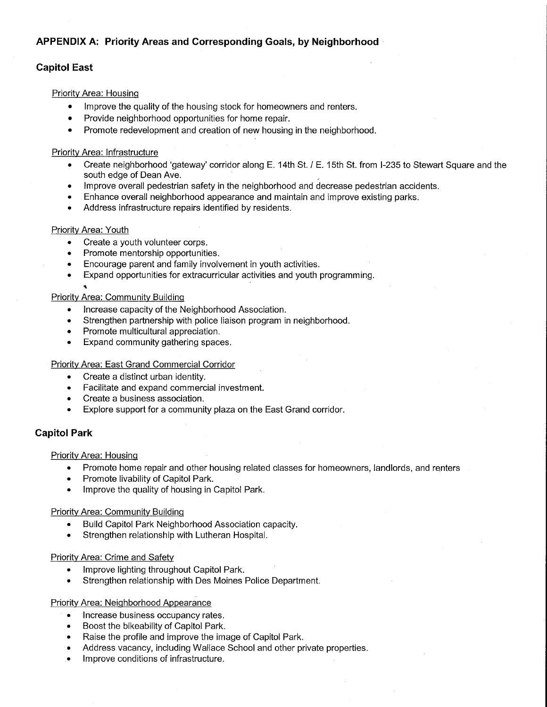# APPENDIX A: Priority Areas and Corresponding Goals, by Neighborhood

# Capitol East

#### Priority Area: HousinQ

- Improve the quality of the housing stock for homeowners and renters.
- Provide neighborhood opportunities for home repair.
- Promote redevelopment and creation of new housing in the neighborhood.

#### Priority Area: Infrastructure

- Create neighborhood 'gateway' corridor along E. 14th St. / E. 15th St. from 1-235 to Stewart Square and the south edge of Dean Ave.
- Improve overall pedestrian safety in the neighborhood and decrease pedestrian accidents.
- Enhance overall neighborhood appearance and maintain and improve existing parks.
- Address infrastructure repairs identified by residents.

#### Priority Area: Youth

•n

- Create a youth volunteer corps.
- Promote mentorship opportunities.
- Encourage parent and family involvement in youth activities.
- Expand opportunities for extracurricular activities and youth programming.

#### Priority Area: Community Building

- Increase capacity of the Neighborhood Association.
- Strengthen partnership with police liaison program in neighborhood.
- Promote multicultural appreciation.
- Expand community gathering spaces.

#### Priority Area: East Grand Commercial Corridor

- Create a distinct urban identity.
- Facilitate and expand commercial investment.
- Create a business association.
- Explore support for a community plaza on the East Grand corridor.

### Capitol Park

#### Priority Area: Housing

- Promote home repair and other housing related classes for homeowners, landlords, and renters
- Promote livability of Capitol Park.
- Improve the quality of housing in Capitol Park.

#### Priority Area: Community Building

- Build Capitol Park Neighborhood Association capacity.
- Strengthen relationship with Lutheran Hospital.

#### Priority Area: Crime and Safety

- Improve lighting throughout Capitol Park.
- Strengthen relationship with Des Moines Police Department.

#### Priority Area: Neighborhood Appearance

- Increase business occupancy rates.
- Boost the bikeability of Capitol Park.
- Raise the profile and improve the image of Capitol Park.
- Address vacancy, including Wallace School and other private properties.
- Improve conditions of infrastructure.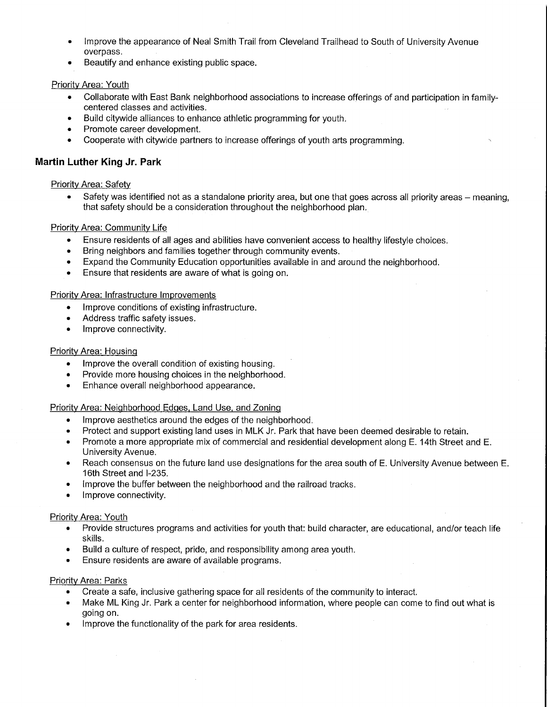- Improve the appearance of Neal Smith Trail from Cleveland Trailhead to South of University Avenue overpass.
- Beautify and enhance existing public space.

### Priority Area: Youth

- Collaborate with East Bank neighborhood associations to increase offerings of and participation in familycentered classes and activities.
- Build citywide alliances to enhance athletic programming for youth.
- Promote career development.
- Cooperate with citywide partners to increase offerings of youth arts programming.

# Martin Luther King Jr. Park

### Priority Area: Safety

Safety was identified not as a standalone priority area, but one that goes across all priority areas – meaning, that safety should be a consideration throughout the neighborhood plan.

#### Priority Area: Community Life

- Ensure residents of all ages and abilities have convenient access to healthy lifestyle choices.
- Bring neighbors and families together through community events.
- Expand the Community Education opportunities available in and around the neighborhood.
- Ensure that residents are aware of what is going on.

#### Priority Area: Infrastructure Improvements

- Improve conditions of existing infrastructure.
- Address traffic safety issues. •
- $\bullet$ Improve connectivity.

#### Priority Area: Housing

- Improve the overall condition of existing housing.
- Provide more housing choices in the neighborhood.
- Enhance overall neighborhood appearance.

#### Priority Area: Neighborhood Edges, Land Use, and Zoning

- Improve aesthetics around the edges of the neighborhood.
- Protect and support existing land uses in MLK Jr. Park that have been deemed desirable to retain.
- Promote a more appropriate mix of commercial and residential development along E. 14th Street and E. University Avenue.
- Reach consensus on the future land use designations for the area south of E. University Avenue between E. 16th Street and 1-235.
- Improve the buffer between the neighborhood and the railroad tracks.
- Improve connectivity.

#### **Priority Area: Youth**

- Provide structures programs and activities for youth that: build character, are educational, and/or teach life skills.
- Build a culture of respect, pride, and responsibility among area youth.
- Ensure residents are aware of available programs.

#### Priority Area: Parks

- Create a safe, inclusive gathering space for all residents of the community to interact.
- Make ML King Jr. Park a center for neighborhood information, where people can come to find out what is going on.
- Improve the functionality of the park for area residents.